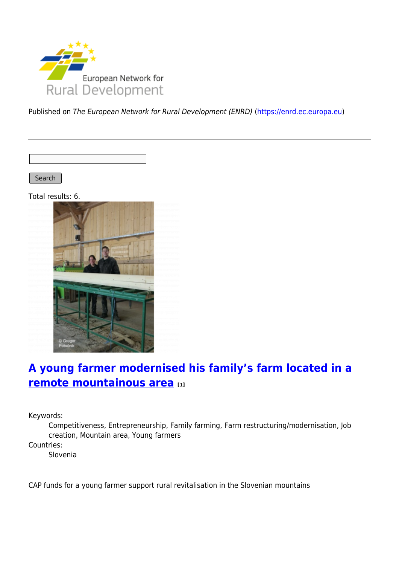

Published on The European Network for Rural Development (ENRD) [\(https://enrd.ec.europa.eu](https://enrd.ec.europa.eu))

Search

Total results: 6.



# **[A young farmer modernised his family's farm located in a](https://enrd.ec.europa.eu/projects-practice/young-farmer-modernised-his-familys-farm-located-remote-mountainous-area_en) [remote mountainous area](https://enrd.ec.europa.eu/projects-practice/young-farmer-modernised-his-familys-farm-located-remote-mountainous-area_en) [1]**

Keywords:

Competitiveness, Entrepreneurship, Family farming, Farm restructuring/modernisation, Job creation, Mountain area, Young farmers

Countries:

Slovenia

CAP funds for a young farmer support rural revitalisation in the Slovenian mountains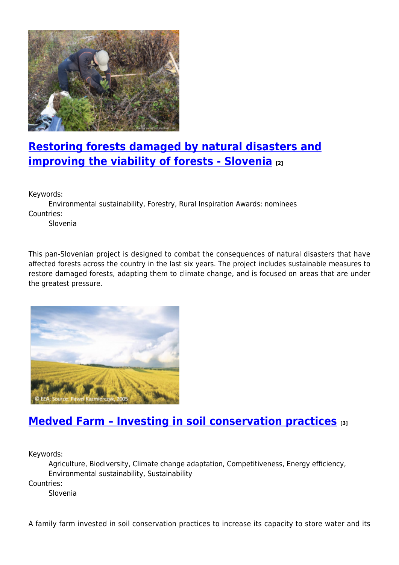

# **[Restoring forests damaged by natural disasters and](https://enrd.ec.europa.eu/projects-practice/restoring-forests-damaged-natural-disasters-and-improving-viability-forests_en) [improving the viability of forests - Slovenia](https://enrd.ec.europa.eu/projects-practice/restoring-forests-damaged-natural-disasters-and-improving-viability-forests_en) [2]**

Keywords:

Environmental sustainability, Forestry, Rural Inspiration Awards: nominees Countries:

Slovenia

This pan-Slovenian project is designed to combat the consequences of natural disasters that have affected forests across the country in the last six years. The project includes sustainable measures to restore damaged forests, adapting them to climate change, and is focused on areas that are under the greatest pressure.



### **[Medved Farm – Investing in soil conservation practices](https://enrd.ec.europa.eu/projects-practice/medved-farm-investing-soil-conservation-practices_en) [3]**

Keywords:

Agriculture, Biodiversity, Climate change adaptation, Competitiveness, Energy efficiency, Environmental sustainability, Sustainability Countries:

Slovenia

A family farm invested in soil conservation practices to increase its capacity to store water and its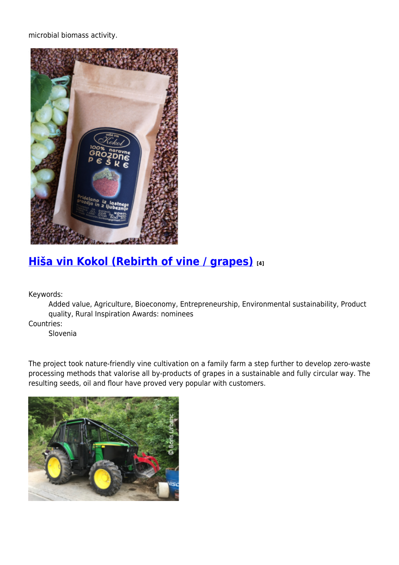microbial biomass activity.



# **[Hiša vin Kokol \(Rebirth of vine / grapes\)](https://enrd.ec.europa.eu/projects-practice/hisa-vin-kokol-rebirth-vine-grapes_en) [4]**

Keywords:

Added value, Agriculture, Bioeconomy, Entrepreneurship, Environmental sustainability, Product quality, Rural Inspiration Awards: nominees

Countries:

Slovenia

The project took nature-friendly vine cultivation on a family farm a step further to develop zero-waste processing methods that valorise all by-products of grapes in a sustainable and fully circular way. The resulting seeds, oil and flour have proved very popular with customers.

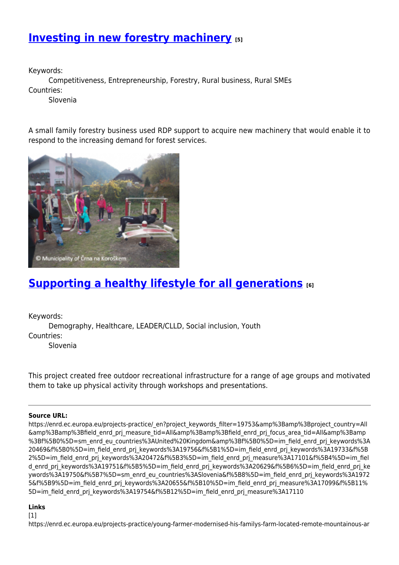## **[Investing in new forestry machinery](https://enrd.ec.europa.eu/projects-practice/investing-new-forestry-machinery_en) [5]**

Keywords:

Competitiveness, Entrepreneurship, Forestry, Rural business, Rural SMEs Countries:

Slovenia

A small family forestry business used RDP support to acquire new machinery that would enable it to respond to the increasing demand for forest services.



## **[Supporting a healthy lifestyle for all generations](https://enrd.ec.europa.eu/projects-practice/supporting-healthy-lifestyle-all-generations_en) [6]**

Keywords:

Demography, Healthcare, LEADER/CLLD, Social inclusion, Youth Countries:

Slovenia

This project created free outdoor recreational infrastructure for a range of age groups and motivated them to take up physical activity through workshops and presentations.

#### **Source URL:**

https://enrd.ec.europa.eu/projects-practice/\_en?project\_keywords\_filter=19753&amp%3Bamp%3Bproject\_country=All &amp%3Bamp%3Bfield\_enrd\_prj\_measure\_tid=All&amp%3Bamp%3Bfield\_enrd\_prj\_focus\_area\_tid=All&amp%3Bamp %3Bf%5B0%5D=sm\_enrd\_eu\_countries%3AUnited%20Kingdom&amp%3Bf%5B0%5D=im\_field\_enrd\_prj\_keywords%3A 20469&f%5B0%5D=im\_field\_enrd\_prj\_keywords%3A19756&f%5B1%5D=im\_field\_enrd\_prj\_keywords%3A19733&f%5B 2%5D=im field enrd prj keywords%3A20472&f%5B3%5D=im field enrd prj measure%3A17101&f%5B4%5D=im fiel d enrd prj keywords%3A19751&f%5B5%5D=im field enrd prj keywords%3A20629&f%5B6%5D=im field enrd prj ke ywords%3A19750&f%5B7%5D=sm\_enrd\_eu\_countries%3ASlovenia&f%5B8%5D=im\_field\_enrd\_prj\_keywords%3A1972 5&f%5B9%5D=im\_field\_enrd\_prj\_keywords%3A20655&f%5B10%5D=im\_field\_enrd\_prj\_measure%3A17099&f%5B11% 5D=im\_field\_enrd\_prj\_keywords%3A19754&f%5B12%5D=im\_field\_enrd\_prj\_measure%3A17110

#### **Links**

 $[1]$ 

https://enrd.ec.europa.eu/projects-practice/young-farmer-modernised-his-familys-farm-located-remote-mountainous-ar